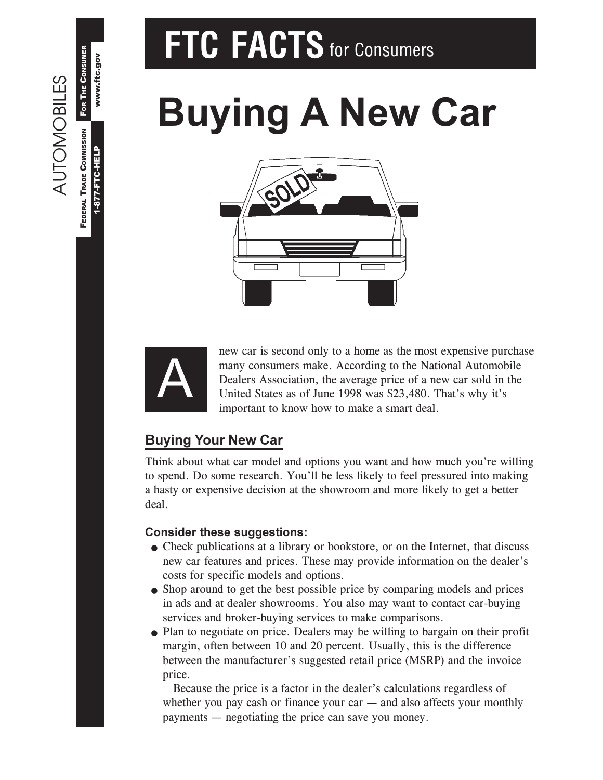# **FTC FACTS** for Consumers

# **Buying A New Car**





**FEDERAL TRADE COMMISSION FOR THE CONSUMER** 

1-877-FTC-HELP

**AUTOMOBILES** 

www.ftc.gov

new car is second only to a home as the most expensive purchase many consumers make. According to the National Automobile Dealers Association, the average price of a new car sold in the United States as of June 1998 was \$23,480. That's why it's important to know how to make a smart deal.

### **Buying Your New Car**

Think about what car model and options you want and how much you're willing to spend. Do some research. You'll be less likely to feel pressured into making a hasty or expensive decision at the showroom and more likely to get a better deal.

#### **Consider these suggestions:**

- Check publications at a library or bookstore, or on the Internet, that discuss new car features and prices. These may provide information on the dealer's costs for specific models and options.
- Shop around to get the best possible price by comparing models and prices in ads and at dealer showrooms. You also may want to contact car-buying services and broker-buying services to make comparisons.
- Plan to negotiate on price. Dealers may be willing to bargain on their profit margin, often between 10 and 20 percent. Usually, this is the difference between the manufacturer's suggested retail price (MSRP) and the invoice price.

Because the price is a factor in the dealer's calculations regardless of whether you pay cash or finance your car  $-$  and also affects your monthly payments — negotiating the price can save you money.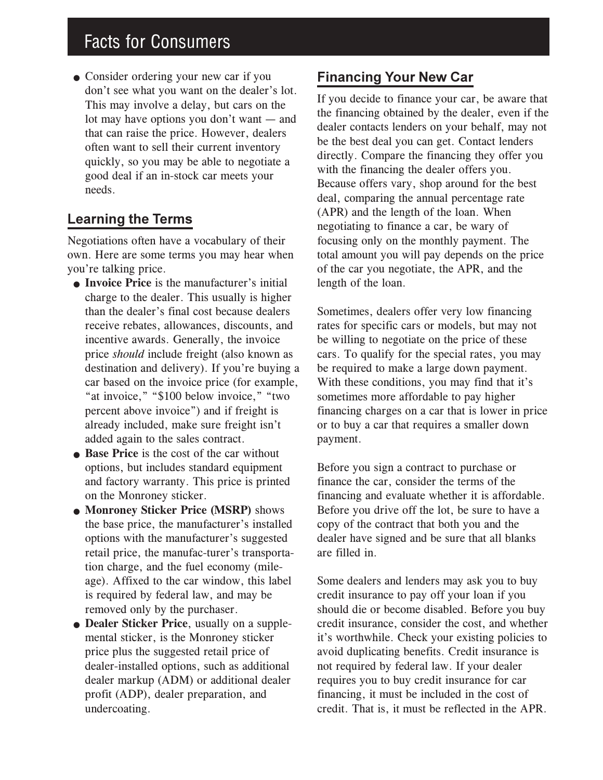## **Facts for Consumers**

• Consider ordering your new car if you don't see what you want on the dealer's lot. This may involve a delay, but cars on the lot may have options you don't want  $-$  and that can raise the price. However, dealers often want to sell their current inventory quickly, so you may be able to negotiate a good deal if an in-stock car meets your needs.

#### **Learning the Terms**

Negotiations often have a vocabulary of their own. Here are some terms you may hear when you're talking price.

- Invoice Price is the manufacturer's initial charge to the dealer. This usually is higher than the dealer's final cost because dealers receive rebates, allowances, discounts, and incentive awards. Generally, the invoice price *should* include freight (also known as destination and delivery). If you're buying a car based on the invoice price (for example, "at invoice," "\$100 below invoice," "two percent above invoice") and if freight is already included, make sure freight isn't added again to the sales contract.
- Base Price is the cost of the car without options, but includes standard equipment and factory warranty. This price is printed on the Monroney sticker.
- Monroney Sticker Price (MSRP) shows the base price, the manufacturer's installed options with the manufacturer's suggested retail price, the manufac-turer's transportation charge, and the fuel economy (mileage). Affixed to the car window, this label is required by federal law, and may be removed only by the purchaser.
- Dealer Sticker Price, usually on a supplemental sticker, is the Monroney sticker price plus the suggested retail price of dealer-installed options, such as additional dealer markup (ADM) or additional dealer profit (ADP), dealer preparation, and undercoating.

### **Financing Your New Car**

If you decide to finance your car, be aware that the financing obtained by the dealer, even if the dealer contacts lenders on your behalf, may not be the best deal you can get. Contact lenders directly. Compare the financing they offer you with the financing the dealer offers you. Because offers vary, shop around for the best deal, comparing the annual percentage rate (APR) and the length of the loan. When negotiating to finance a car, be wary of focusing only on the monthly payment. The total amount you will pay depends on the price of the car you negotiate, the APR, and the length of the loan.

Sometimes, dealers offer very low financing rates for specific cars or models, but may not be willing to negotiate on the price of these cars. To qualify for the special rates, you may be required to make a large down payment. With these conditions, you may find that it's sometimes more affordable to pay higher financing charges on a car that is lower in price or to buy a car that requires a smaller down payment.

Before you sign a contract to purchase or finance the car, consider the terms of the financing and evaluate whether it is affordable. Before you drive off the lot, be sure to have a copy of the contract that both you and the dealer have signed and be sure that all blanks are filled in.

Some dealers and lenders may ask you to buy credit insurance to pay off your loan if you should die or become disabled. Before you buy credit insurance, consider the cost, and whether it's worthwhile. Check your existing policies to avoid duplicating benefits. Credit insurance is not required by federal law. If your dealer requires you to buy credit insurance for car financing, it must be included in the cost of credit. That is, it must be reflected in the APR.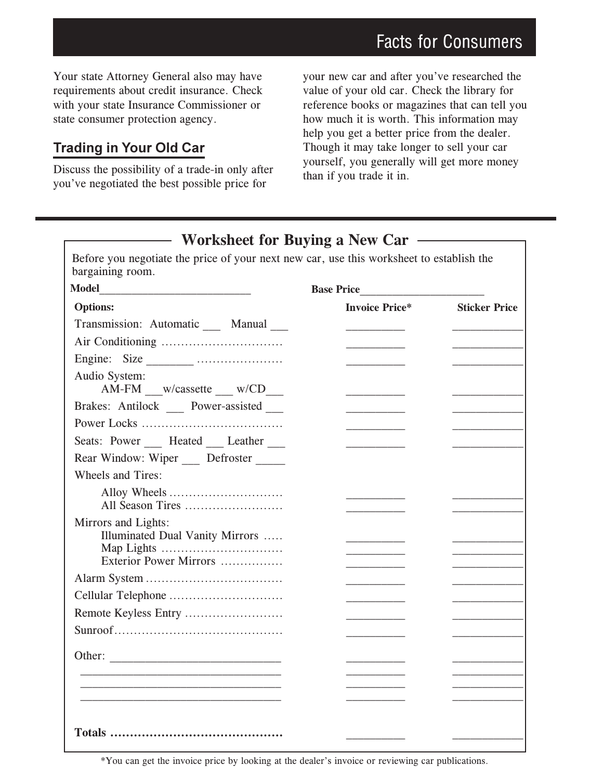Your state Attorney General also may have requirements about credit insurance. Check with your state Insurance Commissioner or state consumer protection agency.

#### **Trading in Your Old Car**

Discuss the possibility of a trade-in only after you've negotiated the best possible price for

your new car and after you've researched the value of your old car. Check the library for reference books or magazines that can tell you how much it is worth. This information may help you get a better price from the dealer. Though it may take longer to sell your car yourself, you generally will get more money than if you trade it in.

| bargaining room.                                                                 |                       |                      |
|----------------------------------------------------------------------------------|-----------------------|----------------------|
| <b>Model</b>                                                                     | <b>Base Price</b>     |                      |
| <b>Options:</b>                                                                  | <b>Invoice Price*</b> | <b>Sticker Price</b> |
| Transmission: Automatic __ Manual __                                             |                       |                      |
|                                                                                  |                       |                      |
|                                                                                  |                       |                      |
| Audio System:<br>AM-FM w/cassette w/CD                                           |                       |                      |
| Brakes: Antilock __ Power-assisted __                                            |                       |                      |
|                                                                                  |                       |                      |
| Seats: Power __ Heated __ Leather __                                             |                       |                      |
| Rear Window: Wiper Defroster                                                     |                       |                      |
| <b>Wheels and Tires:</b>                                                         |                       |                      |
| All Season Tires                                                                 |                       |                      |
| Mirrors and Lights:<br>Illuminated Dual Vanity Mirrors<br>Exterior Power Mirrors |                       |                      |
|                                                                                  |                       |                      |
|                                                                                  |                       |                      |
|                                                                                  |                       |                      |
|                                                                                  |                       |                      |
|                                                                                  |                       |                      |
| Other:                                                                           |                       |                      |
|                                                                                  |                       |                      |
|                                                                                  |                       |                      |

\*You can get the invoice price by looking at the dealer's invoice or reviewing car publications.